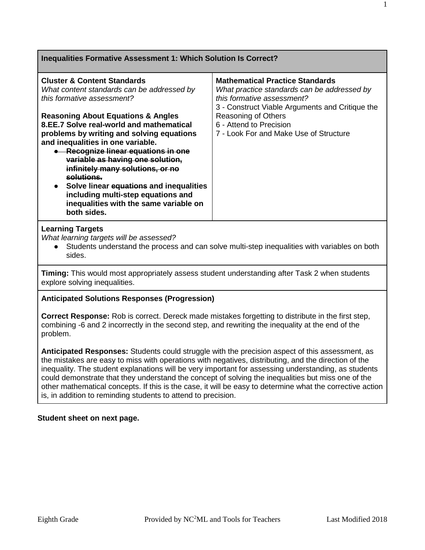| Inequalities Formative Assessment 1: Which Solution Is Correct?                                                                                                                                                                                                                                                                                                                                                                                                                                                                                                            |                                                                                                                                                                                                                                                                    |  |
|----------------------------------------------------------------------------------------------------------------------------------------------------------------------------------------------------------------------------------------------------------------------------------------------------------------------------------------------------------------------------------------------------------------------------------------------------------------------------------------------------------------------------------------------------------------------------|--------------------------------------------------------------------------------------------------------------------------------------------------------------------------------------------------------------------------------------------------------------------|--|
| <b>Cluster &amp; Content Standards</b><br>What content standards can be addressed by<br>this formative assessment?<br><b>Reasoning About Equations &amp; Angles</b><br>8.EE.7 Solve real-world and mathematical<br>problems by writing and solving equations<br>and inequalities in one variable.<br>• Recognize linear equations in one<br>variable as having one solution,<br>infinitely many solutions, or no<br>solutions.<br>• Solve linear equations and inequalities<br>including multi-step equations and<br>inequalities with the same variable on<br>both sides. | <b>Mathematical Practice Standards</b><br>What practice standards can be addressed by<br>this formative assessment?<br>3 - Construct Viable Arguments and Critique the<br>Reasoning of Others<br>6 - Attend to Precision<br>7 - Look For and Make Use of Structure |  |
| <b>Learning Targets</b><br>What learning targets will be assessed?<br>Students understand the process and can solve multi-step inequalities with variables on both<br>sides.                                                                                                                                                                                                                                                                                                                                                                                               |                                                                                                                                                                                                                                                                    |  |

**Timing:** This would most appropriately assess student understanding after Task 2 when students explore solving inequalities.

## **Anticipated Solutions Responses (Progression)**

**Correct Response:** Rob is correct. Dereck made mistakes forgetting to distribute in the first step, combining -6 and 2 incorrectly in the second step, and rewriting the inequality at the end of the problem.

**Anticipated Responses:** Students could struggle with the precision aspect of this assessment, as the mistakes are easy to miss with operations with negatives, distributing, and the direction of the inequality. The student explanations will be very important for assessing understanding, as students could demonstrate that they understand the concept of solving the inequalities but miss one of the other mathematical concepts. If this is the case, it will be easy to determine what the corrective action is, in addition to reminding students to attend to precision.

### **Student sheet on next page.**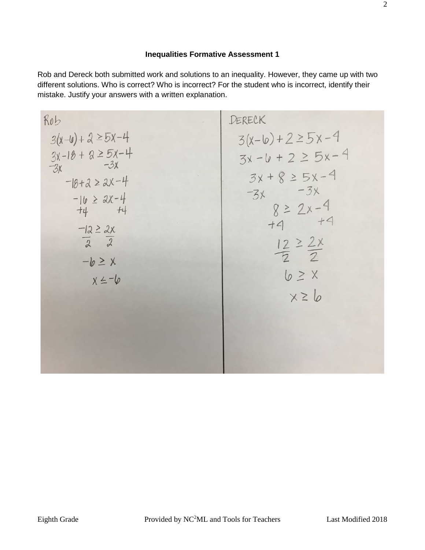# **Inequalities Formative Assessment 1**

Rob and Dereck both submitted work and solutions to an inequality. However, they came up with two different solutions. Who is correct? Who is incorrect? For the student who is incorrect, identify their mistake. Justify your answers with a written explanation.

| Ro                      | DERECK                   |                |
|-------------------------|--------------------------|----------------|
| $3(x-1) + 2 \ge 5x - 4$ | $3(x-10) + 2 \ge 5x - 4$ |                |
| $3x-18 + 2 \ge 3x - 4$  | $3x - 6 + 2 \ge 5x - 4$  |                |
| $-18 + 2 \ge 2x - 4$    | $3x + 8 \ge 5x - 4$      |                |
| $-10 \ge 2x - 4$        | $-3x$                    | $-3x$          |
| $-12 \ge 2x$            | $-3x$                    | $8 \ge 2x - 4$ |
| $-12 \ge 2x$            | $4 - 4$                  |                |
| $-12 \ge 2x$            | $12 \ge 2x$              |                |
| $-6 \ge x$              | $x \ge 6$                |                |
| $x \le -6$              | $6 \ge x$                |                |
| $x \ge 6$               |                          |                |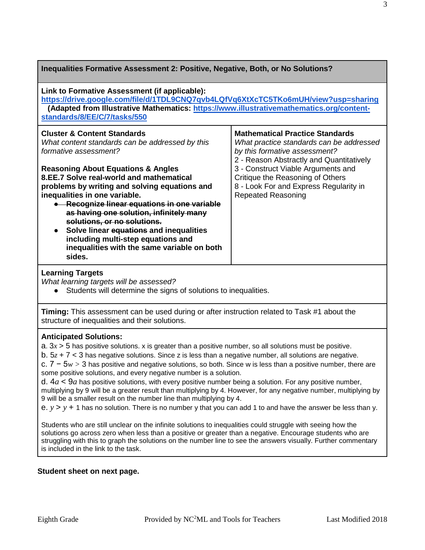| Inequalities Formative Assessment 2: Positive, Negative, Both, or No Solutions?                                                                                                                                                                                                                                                                                                                                                                 |                                                                                                                                                                 |
|-------------------------------------------------------------------------------------------------------------------------------------------------------------------------------------------------------------------------------------------------------------------------------------------------------------------------------------------------------------------------------------------------------------------------------------------------|-----------------------------------------------------------------------------------------------------------------------------------------------------------------|
| Link to Formative Assessment (if applicable):<br>https://drive.google.com/file/d/1TDL9CNQ7qvb4LQfVq6XtXcTC5TKo6mUH/view?usp=sharing<br>(Adapted from Illustrative Mathematics: https://www.illustrativemathematics.org/content-<br>standards/8/EE/C/7/tasks/550                                                                                                                                                                                 |                                                                                                                                                                 |
| <b>Cluster &amp; Content Standards</b><br>What content standards can be addressed by this<br>formative assessment?                                                                                                                                                                                                                                                                                                                              | <b>Mathematical Practice Standards</b><br>What practice standards can be addressed<br>by this formative assessment?<br>2 - Reason Abstractly and Quantitatively |
| <b>Reasoning About Equations &amp; Angles</b><br>8.EE.7 Solve real-world and mathematical<br>problems by writing and solving equations and<br>inequalities in one variable.<br>• Recognize linear equations in one variable<br>as having one solution, infinitely many<br>solutions, or no solutions.<br>Solve linear equations and inequalities<br>including multi-step equations and<br>inequalities with the same variable on both<br>sides. | 3 - Construct Viable Arguments and<br>Critique the Reasoning of Others<br>8 - Look For and Express Regularity in<br><b>Repeated Reasoning</b>                   |

### **Learning Targets**

*What learning targets will be assessed?*

● Students will determine the signs of solutions to inequalities.

**Timing:** This assessment can be used during or after instruction related to Task #1 about the structure of inequalities and their solutions.

### **Anticipated Solutions:**

a.  $3x > 5$  has positive solutions. x is greater than a positive number, so all solutions must be positive.

b. 5*z* + 7 < 3 has negative solutions. Since z is less than a negative number, all solutions are negative.

c. 7 − 5*w >* 3 has positive and negative solutions, so both. Since w is less than a positive number, there are some positive solutions, and every negative number is a solution.

d.  $4a < 9a$  has positive solutions, with every positive number being a solution. For any positive number, multiplying by 9 will be a greater result than multiplying by 4. However, for any negative number, multiplying by 9 will be a smaller result on the number line than multiplying by 4.

e.  $y > y + 1$  has no solution. There is no number y that you can add 1 to and have the answer be less than y.

Students who are still unclear on the infinite solutions to inequalities could struggle with seeing how the solutions go across zero when less than a positive or greater than a negative. Encourage students who are struggling with this to graph the solutions on the number line to see the answers visually. Further commentary is included in the link to the task.

## **Student sheet on next page.**